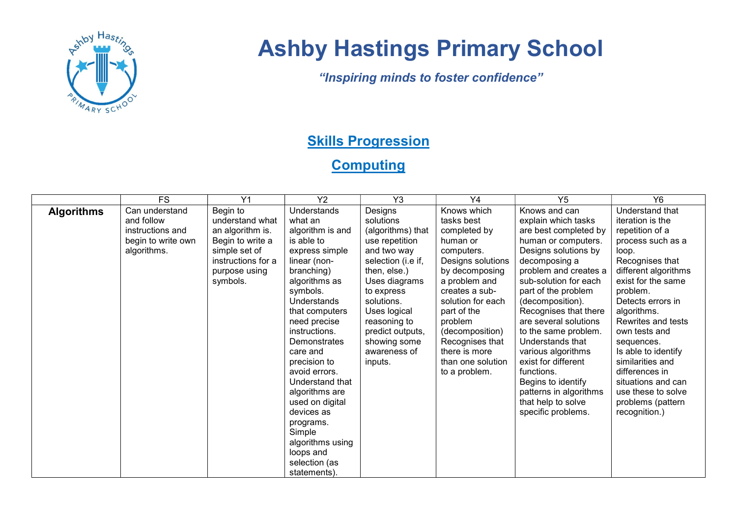

## Ashby Hastings Primary School

"Inspiring minds to foster confidence"

## **Skills Progression**

## **Computing**

|                   | <b>FS</b>                                                                             | Y1                                                                                                                                      | Y2                                                                                                                                                                                                                                                                                                                                                                                                                                         | Y <sub>3</sub>                                                                                                                                                                                                                                               | Y4                                                                                                                                                                                                                                                                                        | Y <sub>5</sub>                                                                                                                                                                                                                                                                                                                                                                                                                                                                  | Y6                                                                                                                                                                                                                                                                                                                                                                                                        |
|-------------------|---------------------------------------------------------------------------------------|-----------------------------------------------------------------------------------------------------------------------------------------|--------------------------------------------------------------------------------------------------------------------------------------------------------------------------------------------------------------------------------------------------------------------------------------------------------------------------------------------------------------------------------------------------------------------------------------------|--------------------------------------------------------------------------------------------------------------------------------------------------------------------------------------------------------------------------------------------------------------|-------------------------------------------------------------------------------------------------------------------------------------------------------------------------------------------------------------------------------------------------------------------------------------------|---------------------------------------------------------------------------------------------------------------------------------------------------------------------------------------------------------------------------------------------------------------------------------------------------------------------------------------------------------------------------------------------------------------------------------------------------------------------------------|-----------------------------------------------------------------------------------------------------------------------------------------------------------------------------------------------------------------------------------------------------------------------------------------------------------------------------------------------------------------------------------------------------------|
| <b>Algorithms</b> | Can understand<br>and follow<br>instructions and<br>begin to write own<br>algorithms. | Begin to<br>understand what<br>an algorithm is.<br>Begin to write a<br>simple set of<br>instructions for a<br>purpose using<br>symbols. | Understands<br>what an<br>algorithm is and<br>is able to<br>express simple<br>linear (non-<br>branching)<br>algorithms as<br>symbols.<br>Understands<br>that computers<br>need precise<br>instructions.<br><b>Demonstrates</b><br>care and<br>precision to<br>avoid errors.<br>Understand that<br>algorithms are<br>used on digital<br>devices as<br>programs.<br>Simple<br>algorithms using<br>loops and<br>selection (as<br>statements). | Designs<br>solutions<br>(algorithms) that<br>use repetition<br>and two way<br>selection (i.e if,<br>then, else.)<br>Uses diagrams<br>to express<br>solutions.<br>Uses logical<br>reasoning to<br>predict outputs,<br>showing some<br>awareness of<br>inputs. | Knows which<br>tasks best<br>completed by<br>human or<br>computers.<br>Designs solutions<br>by decomposing<br>a problem and<br>creates a sub-<br>solution for each<br>part of the<br>problem<br>(decomposition)<br>Recognises that<br>there is more<br>than one solution<br>to a problem. | Knows and can<br>explain which tasks<br>are best completed by<br>human or computers.<br>Designs solutions by<br>decomposing a<br>problem and creates a<br>sub-solution for each<br>part of the problem<br>(decomposition).<br>Recognises that there<br>are several solutions<br>to the same problem.<br>Understands that<br>various algorithms<br>exist for different<br>functions.<br>Begins to identify<br>patterns in algorithms<br>that help to solve<br>specific problems. | Understand that<br>iteration is the<br>repetition of a<br>process such as a<br>loop.<br>Recognises that<br>different algorithms<br>exist for the same<br>problem.<br>Detects errors in<br>algorithms.<br>Rewrites and tests<br>own tests and<br>sequences.<br>Is able to identify<br>similarities and<br>differences in<br>situations and can<br>use these to solve<br>problems (pattern<br>recognition.) |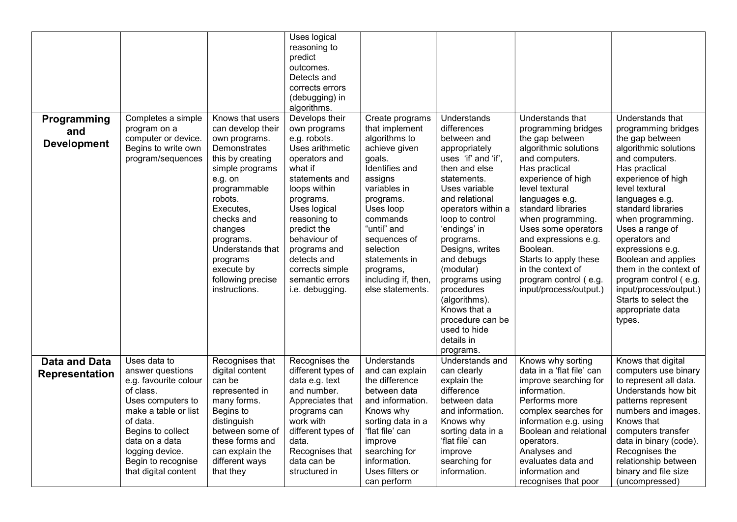|                       |                                           |                                | Uses logical                  |                                |                           |                                                |                                           |
|-----------------------|-------------------------------------------|--------------------------------|-------------------------------|--------------------------------|---------------------------|------------------------------------------------|-------------------------------------------|
|                       |                                           |                                | reasoning to<br>predict       |                                |                           |                                                |                                           |
|                       |                                           |                                | outcomes.                     |                                |                           |                                                |                                           |
|                       |                                           |                                | Detects and                   |                                |                           |                                                |                                           |
|                       |                                           |                                | corrects errors               |                                |                           |                                                |                                           |
|                       |                                           |                                | (debugging) in                |                                |                           |                                                |                                           |
|                       |                                           |                                | algorithms.                   |                                |                           |                                                |                                           |
| Programming           | Completes a simple                        | Knows that users               | Develops their                | Create programs                | Understands               | Understands that                               | Understands that                          |
| and                   | program on a                              | can develop their              | own programs                  | that implement                 | differences               | programming bridges                            | programming bridges                       |
| <b>Development</b>    | computer or device.                       | own programs.                  | e.g. robots.                  | algorithms to                  | between and               | the gap between                                | the gap between                           |
|                       | Begins to write own                       | Demonstrates                   | Uses arithmetic               | achieve given                  | appropriately             | algorithmic solutions                          | algorithmic solutions                     |
|                       | program/sequences                         | this by creating               | operators and                 | goals.                         | uses 'if' and 'if',       | and computers.                                 | and computers.                            |
|                       |                                           | simple programs                | what if                       | Identifies and                 | then and else             | Has practical                                  | Has practical                             |
|                       |                                           | e.g. on                        | statements and                | assigns                        | statements.               | experience of high                             | experience of high                        |
|                       |                                           | programmable                   | loops within                  | variables in                   | Uses variable             | level textural                                 | level textural                            |
|                       |                                           | robots.                        | programs.                     | programs.                      | and relational            | languages e.g.                                 | languages e.g.                            |
|                       |                                           | Executes.                      | Uses logical                  | Uses loop                      | operators within a        | standard libraries                             | standard libraries                        |
|                       |                                           | checks and                     | reasoning to                  | commands                       | loop to control           | when programming.                              | when programming.                         |
|                       |                                           | changes                        | predict the                   | "until" and                    | 'endings' in              | Uses some operators                            | Uses a range of                           |
|                       |                                           | programs.                      | behaviour of                  | sequences of                   | programs.                 | and expressions e.g.                           | operators and                             |
|                       |                                           | Understands that               | programs and                  | selection                      | Designs, writes           | Boolean.                                       | expressions e.g.                          |
|                       |                                           | programs                       | detects and                   | statements in                  | and debugs                | Starts to apply these                          | Boolean and applies                       |
|                       |                                           | execute by                     | corrects simple               | programs,                      | (modular)                 | in the context of                              | them in the context of                    |
|                       |                                           | following precise              | semantic errors               | including if, then,            | programs using            | program control (e.g.                          | program control (e.g.                     |
|                       |                                           | instructions.                  | i.e. debugging.               | else statements.               | procedures                | input/process/output.)                         | input/process/output.)                    |
|                       |                                           |                                |                               |                                | (algorithms).             |                                                | Starts to select the                      |
|                       |                                           |                                |                               |                                | Knows that a              |                                                | appropriate data                          |
|                       |                                           |                                |                               |                                | procedure can be          |                                                | types.                                    |
|                       |                                           |                                |                               |                                | used to hide              |                                                |                                           |
|                       |                                           |                                |                               |                                | details in                |                                                |                                           |
|                       |                                           |                                |                               |                                | programs.                 |                                                |                                           |
| <b>Data and Data</b>  | Uses data to                              | Recognises that                | Recognises the                | Understands                    | Understands and           | Knows why sorting                              | Knows that digital                        |
| <b>Representation</b> | answer questions                          | digital content                | different types of            | and can explain                | can clearly               | data in a 'flat file' can                      | computers use binary                      |
|                       | e.g. favourite colour                     | can be<br>represented in       | data e.g. text<br>and number. | the difference                 | explain the<br>difference | improve searching for<br>information.          | to represent all data.                    |
|                       | of class.                                 |                                |                               | between data                   | between data              | Performs more                                  | Understands how bit                       |
|                       | Uses computers to<br>make a table or list | many forms.<br>Begins to       | Appreciates that              | and information.               | and information.          |                                                | patterns represent<br>numbers and images. |
|                       | of data.                                  |                                | programs can<br>work with     | Knows why<br>sorting data in a | Knows why                 | complex searches for<br>information e.g. using | Knows that                                |
|                       | Begins to collect                         | distinguish<br>between some of | different types of            | 'flat file' can                | sorting data in a         | Boolean and relational                         | computers transfer                        |
|                       | data on a data                            | these forms and                | data.                         | improve                        | 'flat file' can           | operators.                                     | data in binary (code).                    |
|                       | logging device.                           | can explain the                | Recognises that               | searching for                  | improve                   | Analyses and                                   | Recognises the                            |
|                       | Begin to recognise                        | different ways                 | data can be                   | information.                   | searching for             | evaluates data and                             | relationship between                      |
|                       | that digital content                      | that they                      | structured in                 | Uses filters or                | information.              | information and                                | binary and file size                      |
|                       |                                           |                                |                               | can perform                    |                           | recognises that poor                           | (uncompressed)                            |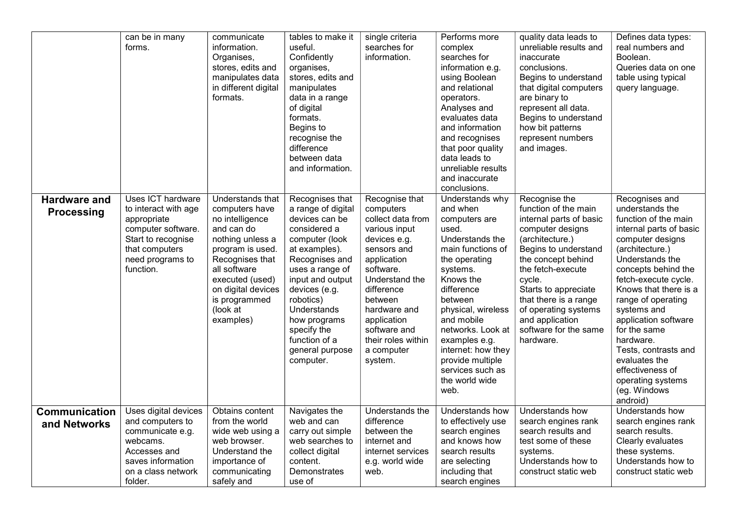|                                          | can be in many<br>forms.                                                                                                                                       | communicate<br>information.<br>Organises,<br>stores, edits and<br>manipulates data<br>in different digital<br>formats.                                                                                                            | tables to make it<br>useful.<br>Confidently<br>organises,<br>stores, edits and<br>manipulates<br>data in a range<br>of digital<br>formats.<br>Begins to<br>recognise the<br>difference<br>between data<br>and information.                                                                       | single criteria<br>searches for<br>information.                                                                                                                                                                                                                       | Performs more<br>complex<br>searches for<br>information e.g.<br>using Boolean<br>and relational<br>operators.<br>Analyses and<br>evaluates data<br>and information<br>and recognises<br>that poor quality<br>data leads to<br>unreliable results<br>and inaccurate<br>conclusions.                                                 | quality data leads to<br>unreliable results and<br>inaccurate<br>conclusions.<br>Begins to understand<br>that digital computers<br>are binary to<br>represent all data.<br>Begins to understand<br>how bit patterns<br>represent numbers<br>and images.                                                                | Defines data types:<br>real numbers and<br>Boolean.<br>Queries data on one<br>table using typical<br>query language.                                                                                                                                                                                                                                                                                                           |
|------------------------------------------|----------------------------------------------------------------------------------------------------------------------------------------------------------------|-----------------------------------------------------------------------------------------------------------------------------------------------------------------------------------------------------------------------------------|--------------------------------------------------------------------------------------------------------------------------------------------------------------------------------------------------------------------------------------------------------------------------------------------------|-----------------------------------------------------------------------------------------------------------------------------------------------------------------------------------------------------------------------------------------------------------------------|------------------------------------------------------------------------------------------------------------------------------------------------------------------------------------------------------------------------------------------------------------------------------------------------------------------------------------|------------------------------------------------------------------------------------------------------------------------------------------------------------------------------------------------------------------------------------------------------------------------------------------------------------------------|--------------------------------------------------------------------------------------------------------------------------------------------------------------------------------------------------------------------------------------------------------------------------------------------------------------------------------------------------------------------------------------------------------------------------------|
| <b>Hardware and</b><br><b>Processing</b> | <b>Uses ICT hardware</b><br>to interact with age<br>appropriate<br>computer software.<br>Start to recognise<br>that computers<br>need programs to<br>function. | Understands that<br>computers have<br>no intelligence<br>and can do<br>nothing unless a<br>program is used.<br>Recognises that<br>all software<br>executed (used)<br>on digital devices<br>is programmed<br>(look at<br>examples) | Recognises that<br>a range of digital<br>devices can be<br>considered a<br>computer (look<br>at examples).<br>Recognises and<br>uses a range of<br>input and output<br>devices (e.g.<br>robotics)<br>Understands<br>how programs<br>specify the<br>function of a<br>general purpose<br>computer. | Recognise that<br>computers<br>collect data from<br>various input<br>devices e.g.<br>sensors and<br>application<br>software.<br>Understand the<br>difference<br>between<br>hardware and<br>application<br>software and<br>their roles within<br>a computer<br>system. | Understands why<br>and when<br>computers are<br>used.<br>Understands the<br>main functions of<br>the operating<br>systems.<br>Knows the<br>difference<br>between<br>physical, wireless<br>and mobile<br>networks. Look at<br>examples e.g.<br>internet: how they<br>provide multiple<br>services such as<br>the world wide<br>web. | Recognise the<br>function of the main<br>internal parts of basic<br>computer designs<br>(architecture.)<br>Begins to understand<br>the concept behind<br>the fetch-execute<br>cycle.<br>Starts to appreciate<br>that there is a range<br>of operating systems<br>and application<br>software for the same<br>hardware. | Recognises and<br>understands the<br>function of the main<br>internal parts of basic<br>computer designs<br>(architecture.)<br>Understands the<br>concepts behind the<br>fetch-execute cycle.<br>Knows that there is a<br>range of operating<br>systems and<br>application software<br>for the same<br>hardware.<br>Tests, contrasts and<br>evaluates the<br>effectiveness of<br>operating systems<br>(eg. Windows<br>android) |
| <b>Communication</b><br>and Networks     | Uses digital devices<br>and computers to<br>communicate e.g.<br>webcams.<br>Accesses and<br>saves information<br>on a class network<br>folder.                 | Obtains content<br>from the world<br>wide web using a<br>web browser.<br>Understand the<br>importance of<br>communicating<br>safely and                                                                                           | Navigates the<br>web and can<br>carry out simple<br>web searches to<br>collect digital<br>content.<br>Demonstrates<br>use of                                                                                                                                                                     | Understands the<br>difference<br>between the<br>internet and<br>internet services<br>e.g. world wide<br>web.                                                                                                                                                          | Understands how<br>to effectively use<br>search engines<br>and knows how<br>search results<br>are selecting<br>including that<br>search engines                                                                                                                                                                                    | Understands how<br>search engines rank<br>search results and<br>test some of these<br>systems.<br>Understands how to<br>construct static web                                                                                                                                                                           | Understands how<br>search engines rank<br>search results.<br>Clearly evaluates<br>these systems.<br>Understands how to<br>construct static web                                                                                                                                                                                                                                                                                 |